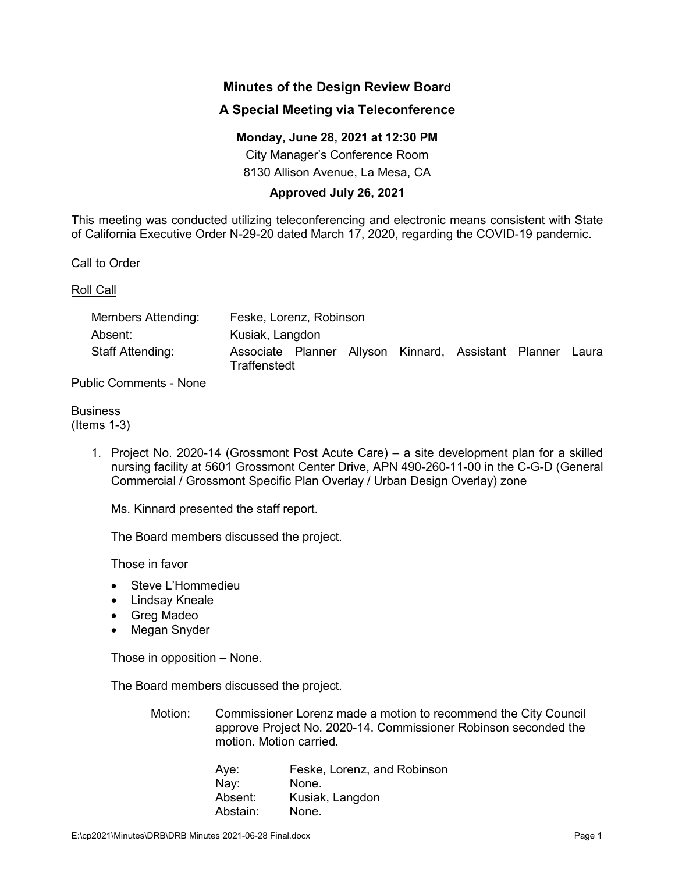# **Minutes of the Design Review Board**

## **A Special Meeting via Teleconference**

### **Monday, June 28, 2021 at 12:30 PM**

City Manager's Conference Room 8130 Allison Avenue, La Mesa, CA

### **Approved July 26, 2021**

This meeting was conducted utilizing teleconferencing and electronic means consistent with State of California Executive Order N-29-20 dated March 17, 2020, regarding the COVID-19 pandemic.

Call to Order

#### Roll Call

| Members Attending: | Feske, Lorenz, Robinson |  |  |  |                                                            |  |  |
|--------------------|-------------------------|--|--|--|------------------------------------------------------------|--|--|
| Absent:            | Kusiak, Langdon         |  |  |  |                                                            |  |  |
| Staff Attending:   | Traffenstedt            |  |  |  | Associate Planner Allyson Kinnard, Assistant Planner Laura |  |  |

#### Public Comments - None

## **Business**

(Items 1-3)

1. Project No. 2020-14 (Grossmont Post Acute Care) – a site development plan for a skilled nursing facility at 5601 Grossmont Center Drive, APN 490-260-11-00 in the C-G-D (General Commercial / Grossmont Specific Plan Overlay / Urban Design Overlay) zone

Ms. Kinnard presented the staff report.

The Board members discussed the project.

Those in favor

- Steve L'Hommedieu
- Lindsay Kneale
- Greg Madeo
- Megan Snyder

Those in opposition – None.

The Board members discussed the project.

Motion: Commissioner Lorenz made a motion to recommend the City Council approve Project No. 2020-14. Commissioner Robinson seconded the motion. Motion carried.

| Aye:     | Feske, Lorenz, and Robinson |
|----------|-----------------------------|
| Nay:     | None.                       |
| Absent:  | Kusiak, Langdon             |
| Abstain: | None.                       |